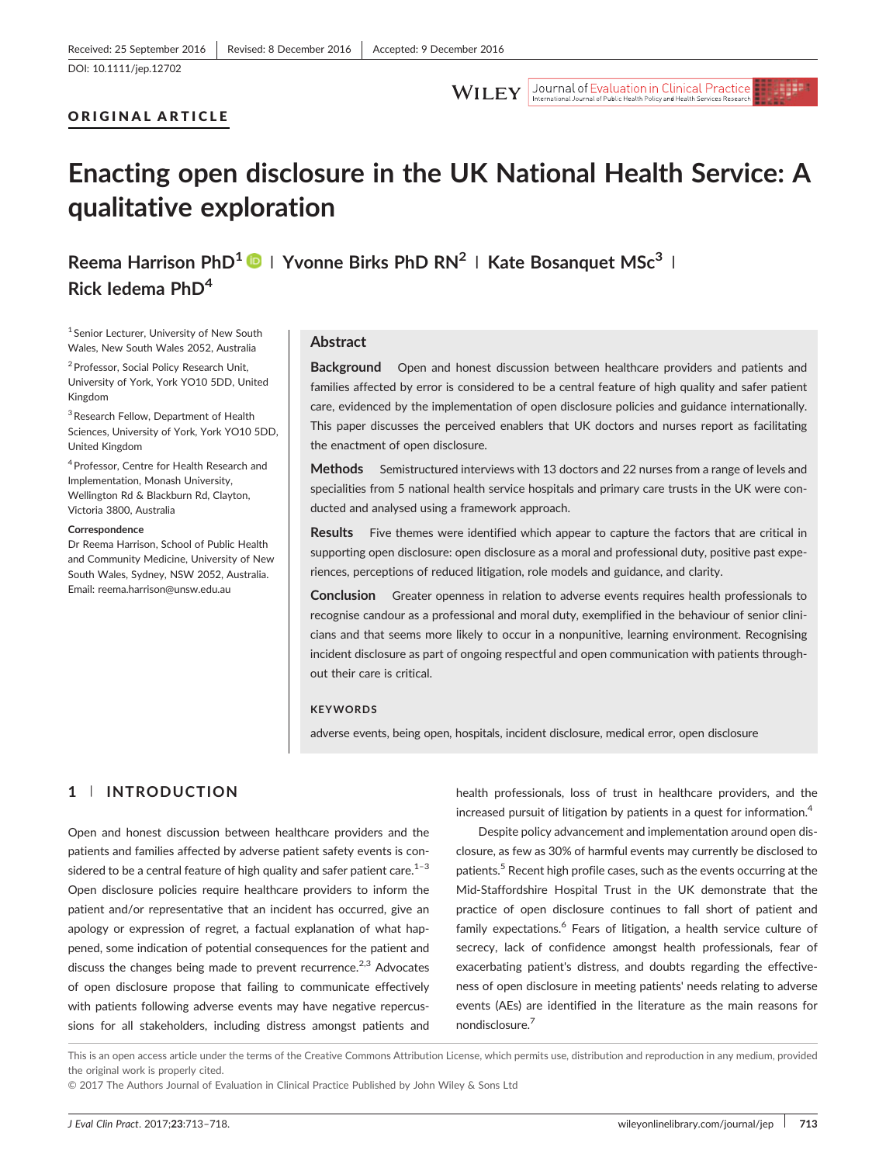[DOI: 10.1111/jep.12702](https://doi.org/10.1111/jep.12702)

# ORIGINAL ARTICLE

# Enacting open disclosure in the UK National Health Service: A qualitative exploration

Reema Harrison PhD<sup>1</sup>  $\bullet$  | Yvonne Birks PhD RN<sup>2</sup> | Kate Bosanquet MSc<sup>3</sup> | Rick Iedema PhD<sup>4</sup>

<sup>1</sup> Senior Lecturer, University of New South Wales, New South Wales 2052, Australia

2Professor, Social Policy Research Unit, University of York, York YO10 5DD, United Kingdom

3Research Fellow, Department of Health Sciences, University of York, York YO10 5DD, United Kingdom

4Professor, Centre for Health Research and Implementation, Monash University, Wellington Rd & Blackburn Rd, Clayton, Victoria 3800, Australia

#### Correspondence

Dr Reema Harrison, School of Public Health and Community Medicine, University of New South Wales, Sydney, NSW 2052, Australia. Email: [reema.harrison@unsw.edu.au](mailto:reema.harrison@unsw.edu.au)

#### Abstract

Background Open and honest discussion between healthcare providers and patients and families affected by error is considered to be a central feature of high quality and safer patient care, evidenced by the implementation of open disclosure policies and guidance internationally. This paper discusses the perceived enablers that UK doctors and nurses report as facilitating the enactment of open disclosure.

Methods Semistructured interviews with 13 doctors and 22 nurses from a range of levels and specialities from 5 national health service hospitals and primary care trusts in the UK were conducted and analysed using a framework approach.

Results Five themes were identified which appear to capture the factors that are critical in supporting open disclosure: open disclosure as a moral and professional duty, positive past experiences, perceptions of reduced litigation, role models and guidance, and clarity.

Conclusion Greater openness in relation to adverse events requires health professionals to recognise candour as a professional and moral duty, exemplified in the behaviour of senior clinicians and that seems more likely to occur in a nonpunitive, learning environment. Recognising incident disclosure as part of ongoing respectful and open communication with patients throughout their care is critical.

#### **KEYWORDS**

adverse events, being open, hospitals, incident disclosure, medical error, open disclosure

# 1 | INTRODUCTION

Open and honest discussion between healthcare providers and the patients and families affected by adverse patient safety events is considered to be a central feature of high quality and safer patient care. $1-3$ Open disclosure policies require healthcare providers to inform the patient and/or representative that an incident has occurred, give an apology or expression of regret, a factual explanation of what happened, some indication of potential consequences for the patient and discuss the changes being made to prevent recurrence.<sup>2,3</sup> Advocates of open disclosure propose that failing to communicate effectively with patients following adverse events may have negative repercussions for all stakeholders, including distress amongst patients and health professionals, loss of trust in healthcare providers, and the increased pursuit of litigation by patients in a quest for information.4

Despite policy advancement and implementation around open disclosure, as few as 30% of harmful events may currently be disclosed to patients.<sup>5</sup> Recent high profile cases, such as the events occurring at the Mid‐Staffordshire Hospital Trust in the UK demonstrate that the practice of open disclosure continues to fall short of patient and family expectations.<sup>6</sup> Fears of litigation, a health service culture of secrecy, lack of confidence amongst health professionals, fear of exacerbating patient's distress, and doubts regarding the effectiveness of open disclosure in meeting patients' needs relating to adverse events (AEs) are identified in the literature as the main reasons for nondisclosure.7

This is an open access article under the terms of the [Creative Commons Attribution](http://creativecommons.org/licenses/by/4.0/) License, which permits use, distribution and reproduction in any medium, provided the original work is properly cited.

© 2017 The Authors Journal of Evaluation in Clinical Practice Published by John Wiley & Sons Ltd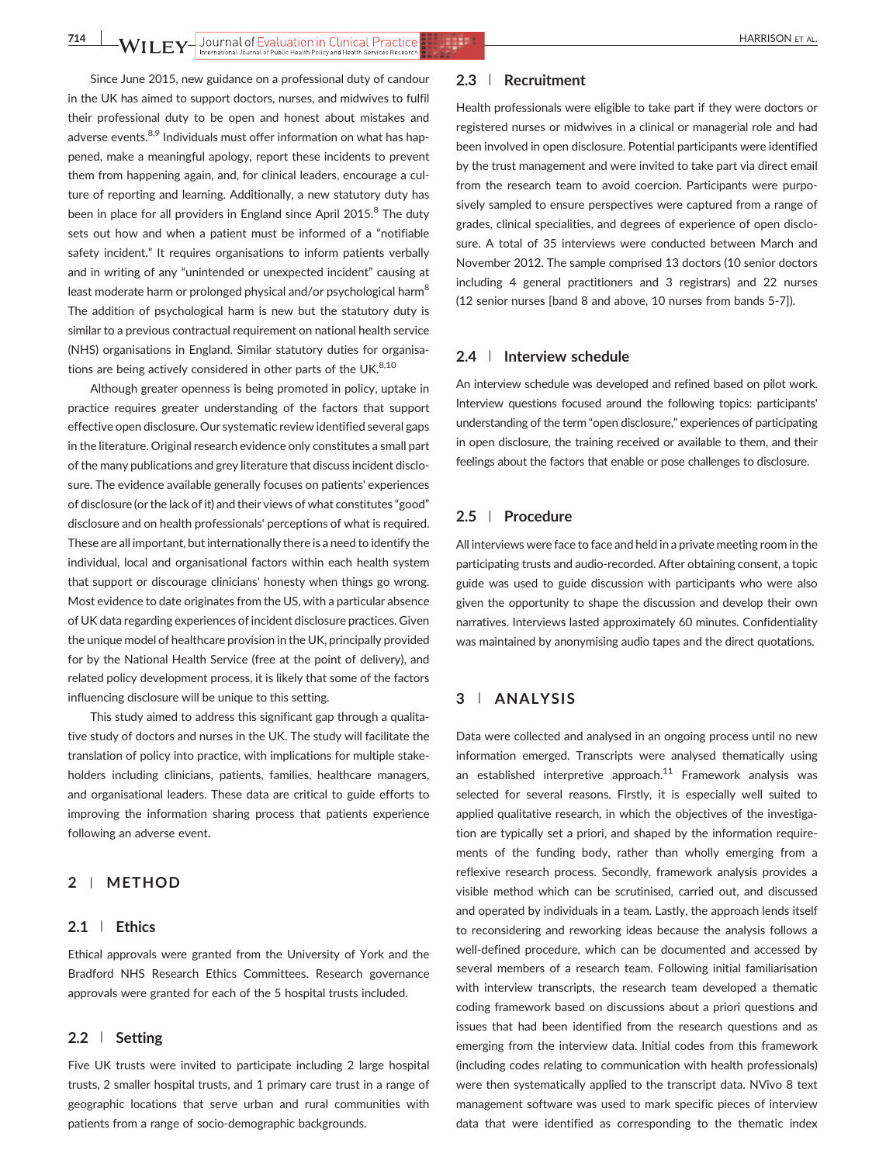Since June 2015, new guidance on a professional duty of candour in the UK has aimed to support doctors, nurses, and midwives to fulfil their professional duty to be open and honest about mistakes and adverse events.<sup>8,9</sup> Individuals must offer information on what has happened, make a meaningful apology, report these incidents to prevent them from happening again, and, for clinical leaders, encourage a culture of reporting and learning. Additionally, a new statutory duty has been in place for all providers in England since April 2015.<sup>8</sup> The duty sets out how and when a patient must be informed of a "notifiable safety incident." It requires organisations to inform patients verbally and in writing of any "unintended or unexpected incident" causing at least moderate harm or prolonged physical and/or psychological harm<sup>8</sup> The addition of psychological harm is new but the statutory duty is similar to a previous contractual requirement on national health service (NHS) organisations in England. Similar statutory duties for organisations are being actively considered in other parts of the UK. $8,10$ 

Although greater openness is being promoted in policy, uptake in practice requires greater understanding of the factors that support effective open disclosure. Our systematic review identified several gaps in the literature. Original research evidence only constitutes a small part of the many publications and grey literature that discuss incident disclosure. The evidence available generally focuses on patients' experiences of disclosure (or the lack of it) and their views of what constitutes "good" disclosure and on health professionals' perceptions of what is required. These are all important, but internationally there is a need to identify the individual, local and organisational factors within each health system that support or discourage clinicians' honesty when things go wrong. Most evidence to date originates from the US, with a particular absence of UK data regarding experiences of incident disclosure practices. Given the unique model of healthcare provision in the UK, principally provided for by the National Health Service (free at the point of delivery), and related policy development process, it is likely that some of the factors influencing disclosure will be unique to this setting.

This study aimed to address this significant gap through a qualitative study of doctors and nurses in the UK. The study will facilitate the translation of policy into practice, with implications for multiple stakeholders including clinicians, patients, families, healthcare managers, and organisational leaders. These data are critical to guide efforts to improving the information sharing process that patients experience following an adverse event.

## 2 | METHOD

#### 2.1 | Ethics

Ethical approvals were granted from the University of York and the Bradford NHS Research Ethics Committees. Research governance approvals were granted for each of the 5 hospital trusts included.

### 2.2 | Setting

Five UK trusts were invited to participate including 2 large hospital trusts, 2 smaller hospital trusts, and 1 primary care trust in a range of geographic locations that serve urban and rural communities with patients from a range of socio‐demographic backgrounds.

# 2.3 | Recruitment

Health professionals were eligible to take part if they were doctors or registered nurses or midwives in a clinical or managerial role and had been involved in open disclosure. Potential participants were identified by the trust management and were invited to take part via direct email from the research team to avoid coercion. Participants were purposively sampled to ensure perspectives were captured from a range of grades, clinical specialities, and degrees of experience of open disclosure. A total of 35 interviews were conducted between March and November 2012. The sample comprised 13 doctors (10 senior doctors including 4 general practitioners and 3 registrars) and 22 nurses (12 senior nurses [band 8 and above, 10 nurses from bands 5‐7]).

## 2.4 | Interview schedule

An interview schedule was developed and refined based on pilot work. Interview questions focused around the following topics: participants' understanding of the term "open disclosure," experiences of participating in open disclosure, the training received or available to them, and their feelings about the factors that enable or pose challenges to disclosure.

#### 2.5 | Procedure

All interviews were face to face and held in a private meeting room in the participating trusts and audio‐recorded. After obtaining consent, a topic guide was used to guide discussion with participants who were also given the opportunity to shape the discussion and develop their own narratives. Interviews lasted approximately 60 minutes. Confidentiality was maintained by anonymising audio tapes and the direct quotations.

## 3 | ANALYSIS

Data were collected and analysed in an ongoing process until no new information emerged. Transcripts were analysed thematically using an established interpretive approach. $11$  Framework analysis was selected for several reasons. Firstly, it is especially well suited to applied qualitative research, in which the objectives of the investigation are typically set a priori, and shaped by the information requirements of the funding body, rather than wholly emerging from a reflexive research process. Secondly, framework analysis provides a visible method which can be scrutinised, carried out, and discussed and operated by individuals in a team. Lastly, the approach lends itself to reconsidering and reworking ideas because the analysis follows a well-defined procedure, which can be documented and accessed by several members of a research team. Following initial familiarisation with interview transcripts, the research team developed a thematic coding framework based on discussions about a priori questions and issues that had been identified from the research questions and as emerging from the interview data. Initial codes from this framework (including codes relating to communication with health professionals) were then systematically applied to the transcript data. NVivo 8 text management software was used to mark specific pieces of interview data that were identified as corresponding to the thematic index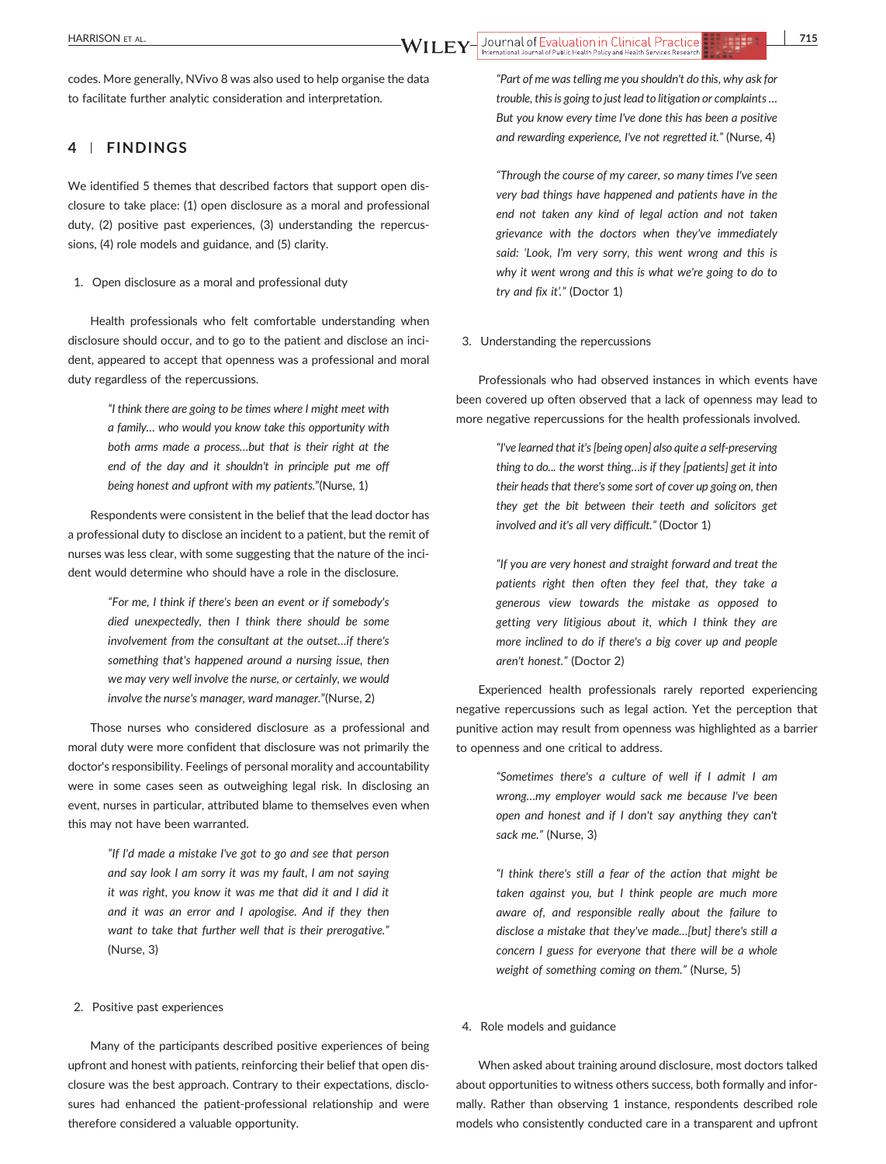codes. More generally, NVivo 8 was also used to help organise the data to facilitate further analytic consideration and interpretation.

# 4 | FINDINGS

We identified 5 themes that described factors that support open disclosure to take place: (1) open disclosure as a moral and professional duty, (2) positive past experiences, (3) understanding the repercussions, (4) role models and guidance, and (5) clarity.

1. Open disclosure as a moral and professional duty

Health professionals who felt comfortable understanding when disclosure should occur, and to go to the patient and disclose an incident, appeared to accept that openness was a professional and moral duty regardless of the repercussions.

> "I think there are going to be times where I might meet with a family… who would you know take this opportunity with both arms made a process…but that is their right at the end of the day and it shouldn't in principle put me off being honest and upfront with my patients."(Nurse, 1)

Respondents were consistent in the belief that the lead doctor has a professional duty to disclose an incident to a patient, but the remit of nurses was less clear, with some suggesting that the nature of the incident would determine who should have a role in the disclosure.

> "For me, I think if there's been an event or if somebody's died unexpectedly, then I think there should be some involvement from the consultant at the outset…if there's something that's happened around a nursing issue, then we may very well involve the nurse, or certainly, we would involve the nurse's manager, ward manager."(Nurse, 2)

Those nurses who considered disclosure as a professional and moral duty were more confident that disclosure was not primarily the doctor's responsibility. Feelings of personal morality and accountability were in some cases seen as outweighing legal risk. In disclosing an event, nurses in particular, attributed blame to themselves even when this may not have been warranted.

> "If I'd made a mistake I've got to go and see that person and say look I am sorry it was my fault, I am not saying it was right, you know it was me that did it and I did it and it was an error and I apologise. And if they then want to take that further well that is their prerogative." (Nurse, 3)

#### 2. Positive past experiences

Many of the participants described positive experiences of being upfront and honest with patients, reinforcing their belief that open disclosure was the best approach. Contrary to their expectations, disclosures had enhanced the patient‐professional relationship and were therefore considered a valuable opportunity.

"Part of me was telling me you shouldn't do this, why ask for trouble, this is going to just lead to litigation or complaints … But you know every time I've done this has been a positive and rewarding experience, I've not regretted it." (Nurse, 4)

"Through the course of my career, so many times I've seen very bad things have happened and patients have in the end not taken any kind of legal action and not taken grievance with the doctors when they've immediately said: 'Look, I'm very sorry, this went wrong and this is why it went wrong and this is what we're going to do to try and fix it'." (Doctor 1)

3. Understanding the repercussions

Professionals who had observed instances in which events have been covered up often observed that a lack of openness may lead to more negative repercussions for the health professionals involved.

> "I've learned that it's [being open] also quite a self‐preserving thing to do... the worst thing…is if they [patients] get it into their heads that there's some sort of cover up going on, then they get the bit between their teeth and solicitors get involved and it's all very difficult." (Doctor 1)

> "If you are very honest and straight forward and treat the patients right then often they feel that, they take a generous view towards the mistake as opposed to getting very litigious about it, which I think they are more inclined to do if there's a big cover up and people aren't honest." (Doctor 2)

Experienced health professionals rarely reported experiencing negative repercussions such as legal action. Yet the perception that punitive action may result from openness was highlighted as a barrier to openness and one critical to address.

> "Sometimes there's a culture of well if I admit I am wrong…my employer would sack me because I've been open and honest and if I don't say anything they can't sack me." (Nurse, 3)

> "I think there's still a fear of the action that might be taken against you, but I think people are much more aware of, and responsible really about the failure to disclose a mistake that they've made…[but] there's still a concern I guess for everyone that there will be a whole weight of something coming on them." (Nurse, 5)

#### 4. Role models and guidance

When asked about training around disclosure, most doctors talked about opportunities to witness others success, both formally and informally. Rather than observing 1 instance, respondents described role models who consistently conducted care in a transparent and upfront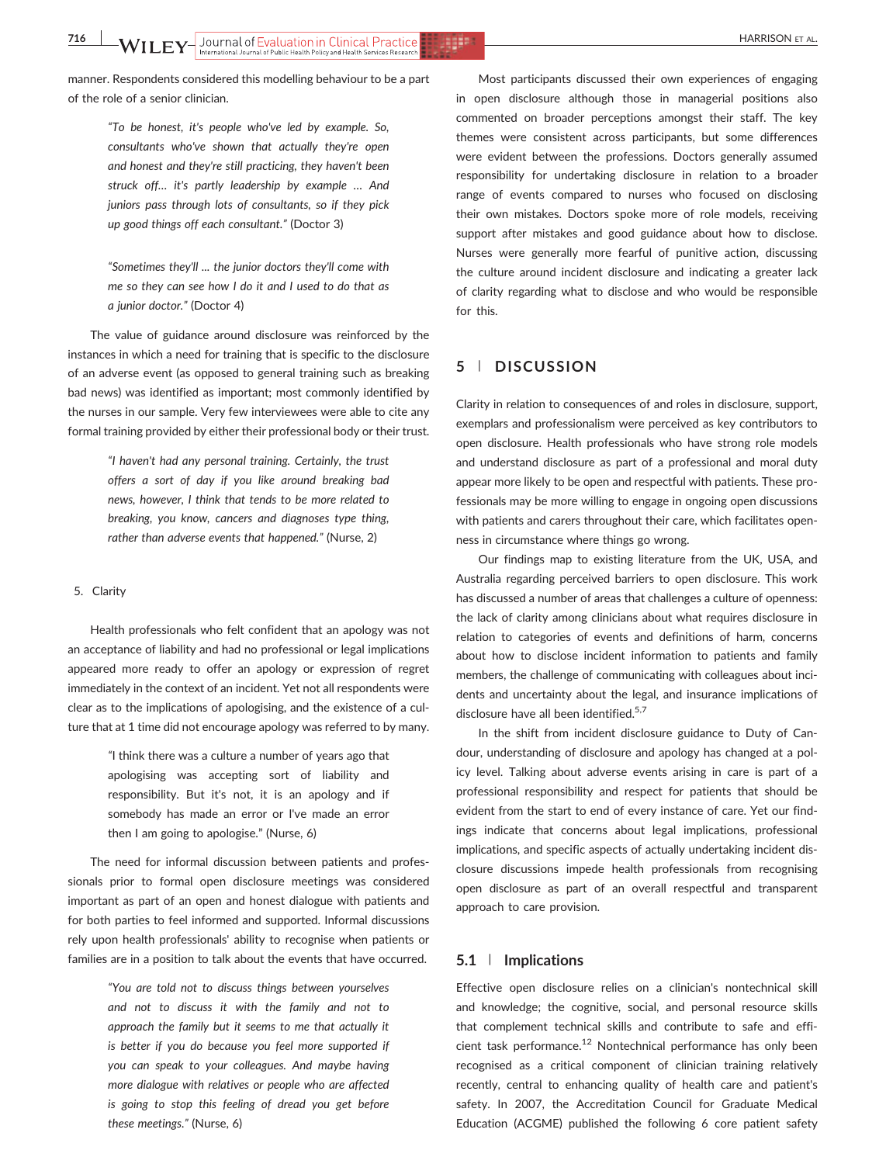manner. Respondents considered this modelling behaviour to be a part of the role of a senior clinician.

> "To be honest, it's people who've led by example. So, consultants who've shown that actually they're open and honest and they're still practicing, they haven't been struck off… it's partly leadership by example … And juniors pass through lots of consultants, so if they pick up good things off each consultant." (Doctor 3)

> "Sometimes they'll ... the junior doctors they'll come with me so they can see how I do it and I used to do that as a junior doctor." (Doctor 4)

The value of guidance around disclosure was reinforced by the instances in which a need for training that is specific to the disclosure of an adverse event (as opposed to general training such as breaking bad news) was identified as important; most commonly identified by the nurses in our sample. Very few interviewees were able to cite any formal training provided by either their professional body or their trust.

> "I haven't had any personal training. Certainly, the trust offers a sort of day if you like around breaking bad news, however, I think that tends to be more related to breaking, you know, cancers and diagnoses type thing, rather than adverse events that happened." (Nurse, 2)

#### 5. Clarity

Health professionals who felt confident that an apology was not an acceptance of liability and had no professional or legal implications appeared more ready to offer an apology or expression of regret immediately in the context of an incident. Yet not all respondents were clear as to the implications of apologising, and the existence of a culture that at 1 time did not encourage apology was referred to by many.

> "I think there was a culture a number of years ago that apologising was accepting sort of liability and responsibility. But it's not, it is an apology and if somebody has made an error or I've made an error then I am going to apologise." (Nurse, 6)

The need for informal discussion between patients and professionals prior to formal open disclosure meetings was considered important as part of an open and honest dialogue with patients and for both parties to feel informed and supported. Informal discussions rely upon health professionals' ability to recognise when patients or families are in a position to talk about the events that have occurred.

> "You are told not to discuss things between yourselves and not to discuss it with the family and not to approach the family but it seems to me that actually it is better if you do because you feel more supported if you can speak to your colleagues. And maybe having more dialogue with relatives or people who are affected is going to stop this feeling of dread you get before these meetings." (Nurse, 6)

Most participants discussed their own experiences of engaging in open disclosure although those in managerial positions also commented on broader perceptions amongst their staff. The key themes were consistent across participants, but some differences were evident between the professions. Doctors generally assumed responsibility for undertaking disclosure in relation to a broader range of events compared to nurses who focused on disclosing their own mistakes. Doctors spoke more of role models, receiving support after mistakes and good guidance about how to disclose. Nurses were generally more fearful of punitive action, discussing the culture around incident disclosure and indicating a greater lack of clarity regarding what to disclose and who would be responsible for this.

# 5 | DISCUSSION

Clarity in relation to consequences of and roles in disclosure, support, exemplars and professionalism were perceived as key contributors to open disclosure. Health professionals who have strong role models and understand disclosure as part of a professional and moral duty appear more likely to be open and respectful with patients. These professionals may be more willing to engage in ongoing open discussions with patients and carers throughout their care, which facilitates openness in circumstance where things go wrong.

Our findings map to existing literature from the UK, USA, and Australia regarding perceived barriers to open disclosure. This work has discussed a number of areas that challenges a culture of openness: the lack of clarity among clinicians about what requires disclosure in relation to categories of events and definitions of harm, concerns about how to disclose incident information to patients and family members, the challenge of communicating with colleagues about incidents and uncertainty about the legal, and insurance implications of disclosure have all been identified.<sup>5,7</sup>

In the shift from incident disclosure guidance to Duty of Candour, understanding of disclosure and apology has changed at a policy level. Talking about adverse events arising in care is part of a professional responsibility and respect for patients that should be evident from the start to end of every instance of care. Yet our findings indicate that concerns about legal implications, professional implications, and specific aspects of actually undertaking incident disclosure discussions impede health professionals from recognising open disclosure as part of an overall respectful and transparent approach to care provision.

#### 5.1 | Implications

Effective open disclosure relies on a clinician's nontechnical skill and knowledge; the cognitive, social, and personal resource skills that complement technical skills and contribute to safe and efficient task performance.<sup>12</sup> Nontechnical performance has only been recognised as a critical component of clinician training relatively recently, central to enhancing quality of health care and patient's safety. In 2007, the Accreditation Council for Graduate Medical Education (ACGME) published the following 6 core patient safety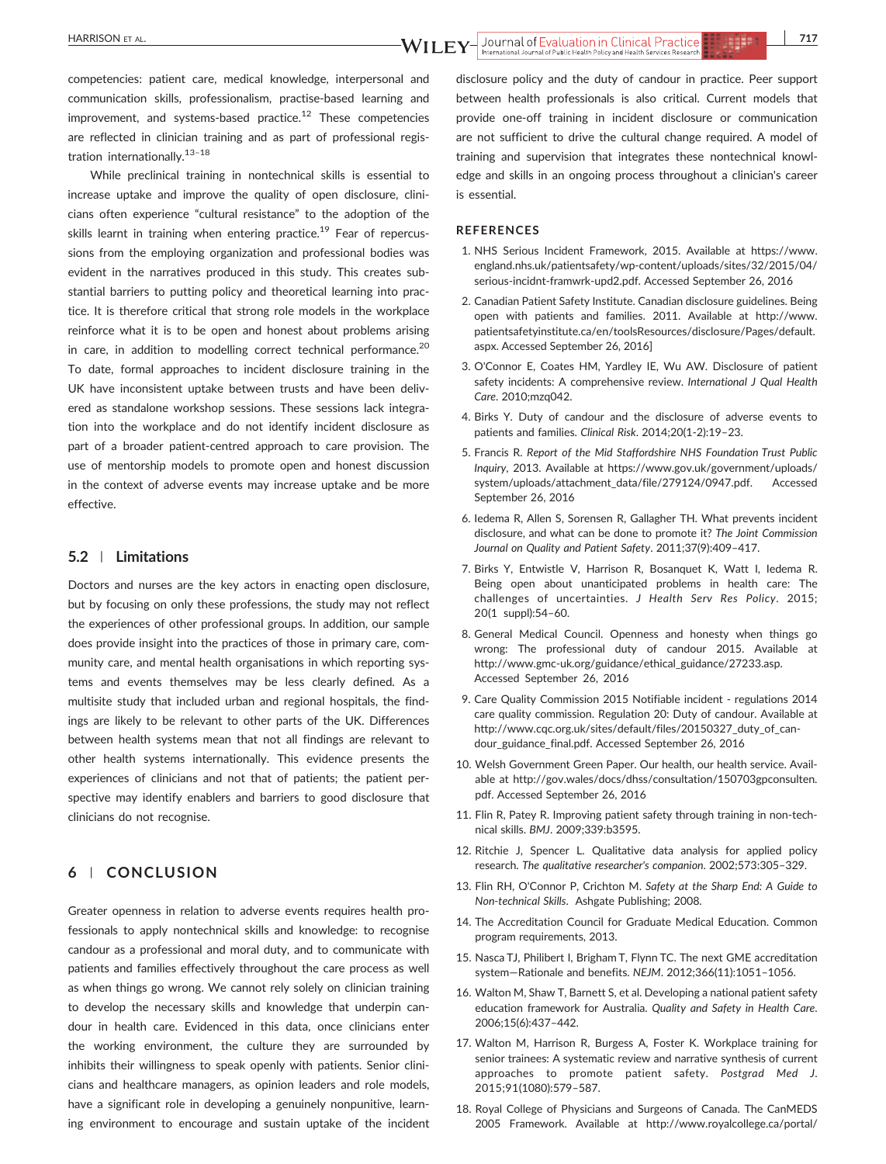competencies: patient care, medical knowledge, interpersonal and communication skills, professionalism, practise‐based learning and improvement, and systems-based practice.<sup>12</sup> These competencies are reflected in clinician training and as part of professional registration internationally.<sup>13-18</sup>

While preclinical training in nontechnical skills is essential to increase uptake and improve the quality of open disclosure, clinicians often experience "cultural resistance" to the adoption of the skills learnt in training when entering practice.<sup>19</sup> Fear of repercussions from the employing organization and professional bodies was evident in the narratives produced in this study. This creates substantial barriers to putting policy and theoretical learning into practice. It is therefore critical that strong role models in the workplace reinforce what it is to be open and honest about problems arising in care, in addition to modelling correct technical performance.<sup>20</sup> To date, formal approaches to incident disclosure training in the UK have inconsistent uptake between trusts and have been delivered as standalone workshop sessions. These sessions lack integration into the workplace and do not identify incident disclosure as part of a broader patient‐centred approach to care provision. The use of mentorship models to promote open and honest discussion in the context of adverse events may increase uptake and be more effective.

#### 5.2 | Limitations

Doctors and nurses are the key actors in enacting open disclosure, but by focusing on only these professions, the study may not reflect the experiences of other professional groups. In addition, our sample does provide insight into the practices of those in primary care, community care, and mental health organisations in which reporting systems and events themselves may be less clearly defined. As a multisite study that included urban and regional hospitals, the findings are likely to be relevant to other parts of the UK. Differences between health systems mean that not all findings are relevant to other health systems internationally. This evidence presents the experiences of clinicians and not that of patients; the patient perspective may identify enablers and barriers to good disclosure that clinicians do not recognise.

# 6 | CONCLUSION

Greater openness in relation to adverse events requires health professionals to apply nontechnical skills and knowledge: to recognise candour as a professional and moral duty, and to communicate with patients and families effectively throughout the care process as well as when things go wrong. We cannot rely solely on clinician training to develop the necessary skills and knowledge that underpin candour in health care. Evidenced in this data, once clinicians enter the working environment, the culture they are surrounded by inhibits their willingness to speak openly with patients. Senior clinicians and healthcare managers, as opinion leaders and role models, have a significant role in developing a genuinely nonpunitive, learning environment to encourage and sustain uptake of the incident

disclosure policy and the duty of candour in practice. Peer support between health professionals is also critical. Current models that provide one‐off training in incident disclosure or communication are not sufficient to drive the cultural change required. A model of training and supervision that integrates these nontechnical knowledge and skills in an ongoing process throughout a clinician's career is essential.

#### **REFERENCES**

- 1. NHS Serious Incident Framework, 2015. Available at [https://www.](https://www.england.nhs.uk/patientsafety/wp-content/uploads/sites/32/2015/04/serious-incidnt-framwrk-upd2.pdf) england.nhs.uk/patientsafety/wp‐[content/uploads/sites/32/2015/04/](https://www.england.nhs.uk/patientsafety/wp-content/uploads/sites/32/2015/04/serious-incidnt-framwrk-upd2.pdf) serious‐incidnt‐framwrk‐[upd2.pdf](https://www.england.nhs.uk/patientsafety/wp-content/uploads/sites/32/2015/04/serious-incidnt-framwrk-upd2.pdf). Accessed September 26, 2016
- 2. Canadian Patient Safety Institute. Canadian disclosure guidelines. Being open with patients and families. 2011. Available at [http://www.](http://www.patientsafetyinstitute.ca/en/toolsResources/disclosure/Pages/default.aspx) [patientsafetyinstitute.ca/en/toolsResources/disclosure/Pages/default.](http://www.patientsafetyinstitute.ca/en/toolsResources/disclosure/Pages/default.aspx) [aspx.](http://www.patientsafetyinstitute.ca/en/toolsResources/disclosure/Pages/default.aspx) Accessed September 26, 2016]
- 3. O'Connor E, Coates HM, Yardley IE, Wu AW. Disclosure of patient safety incidents: A comprehensive review. International J Qual Health Care. 2010;mzq042.
- 4. Birks Y. Duty of candour and the disclosure of adverse events to patients and families. Clinical Risk. 2014;20(1‐2):19–23.
- 5. Francis R. Report of the Mid Staffordshire NHS Foundation Trust Public Inquiry, 2013. Available at [https://www.gov.uk/government/uploads/](https://www.gov.uk/government/uploads/system/uploads/attachment_data/file/279124/0947.pdf) [system/uploads/attachment\\_data/file/279124/0947.pdf](https://www.gov.uk/government/uploads/system/uploads/attachment_data/file/279124/0947.pdf). Accessed September 26, 2016
- 6. Iedema R, Allen S, Sorensen R, Gallagher TH. What prevents incident disclosure, and what can be done to promote it? The Joint Commission Journal on Quality and Patient Safety. 2011;37(9):409–417.
- 7. Birks Y, Entwistle V, Harrison R, Bosanquet K, Watt I, Iedema R. Being open about unanticipated problems in health care: The challenges of uncertainties. J Health Serv Res Policy. 2015; 20(1 suppl):54–60.
- 8. General Medical Council. Openness and honesty when things go wrong: The professional duty of candour 2015. Available at http://www.gmc‐[uk.org/guidance/ethical\\_guidance/27233.asp.](http://www.gmc-uk.org/guidance/ethical_guidance/27233.asp) Accessed September 26, 2016
- 9. Care Quality Commission 2015 Notifiable incident ‐ regulations 2014 care quality commission. Regulation 20: Duty of candour. Available at [http://www.cqc.org.uk/sites/default/files/20150327\\_duty\\_of\\_can](http://www.cqc.org.uk/sites/default/files/20150327_duty_of_candour_guidance_final.pdf)[dour\\_guidance\\_final.pdf.](http://www.cqc.org.uk/sites/default/files/20150327_duty_of_candour_guidance_final.pdf) Accessed September 26, 2016
- 10. Welsh Government Green Paper. Our health, our health service. Available at [http://gov.wales/docs/dhss/consultation/150703gpconsulten.](http://gov.wales/docs/dhss/consultation/150703gpconsulten.pdf) [pdf](http://gov.wales/docs/dhss/consultation/150703gpconsulten.pdf). Accessed September 26, 2016
- 11. Flin R, Patey R. Improving patient safety through training in non-technical skills. BMJ. 2009;339:b3595.
- 12. Ritchie J, Spencer L. Qualitative data analysis for applied policy research. The qualitative researcher's companion. 2002;573:305–329.
- 13. Flin RH, O'Connor P, Crichton M. Safety at the Sharp End: A Guide to Non‐technical Skills. Ashgate Publishing; 2008.
- 14. The Accreditation Council for Graduate Medical Education. Common program requirements, 2013.
- 15. Nasca TJ, Philibert I, Brigham T, Flynn TC. The next GME accreditation system—Rationale and benefits. NEJM. 2012;366(11):1051–1056.
- 16. Walton M, Shaw T, Barnett S, et al. Developing a national patient safety education framework for Australia. Quality and Safety in Health Care. 2006;15(6):437–442.
- 17. Walton M, Harrison R, Burgess A, Foster K. Workplace training for senior trainees: A systematic review and narrative synthesis of current approaches to promote patient safety. Postgrad Med J. 2015;91(1080):579–587.
- 18. Royal College of Physicians and Surgeons of Canada. The CanMEDS 2005 Framework. Available at [http://www.royalcollege.ca/portal/](http://www.royalcollege.ca/portal/page/portal/rc/common/documents/canmeds/framework/the_7_canmeds_roles_e.pdf)